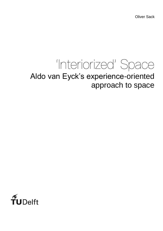Oliver Sack

# 'Interiorized' Space Aldo van Eyck's experience-oriented approach to space

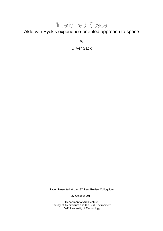### 'Interiorized' Space

Aldo van Eyck's experience-oriented approach to space

By

Oliver Sack

Paper Presented at the 18<sup>th</sup> Peer Review Colloquium

27 October 2017

Department of Architecture Faculty of Architecture and the Built Environment Delft University of Technology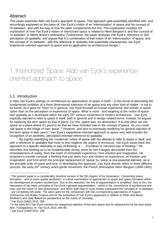### Abstract

This paper examines Aldo van Eyck's approach to space. This approach gets essentially identified with, and accordingly explained on the basis of, Van Eyck's notion of an 'interiorization' of space and his concept of 'In-between', and with the way of how the latter complements the first. This explanation includes the explanation of how Van Eyck's notion of interiorized space is related to Henri Bergson's, and the concept of 'In-between' to Martin Buber's philosophy. Furthermore, the paper analyses Van Eyck's reference to (the perception of) spatiality, and argues that it is combination of that notion of an 'interiorization' of space, and the concept of 'In-between', with this reference to spatiality that essentially characterizes van Eyck' experience-oriented approach to space and its application on architectural design.<sup>1</sup>

## 1 'Interiorized' Space: Aldo van Eyck's experienceoriented approach to space

#### 1.1. Introduction

In Aldo Van Eyck's writings on architecture an appreciation of space in itself – in the sense of describing the fundamental condition of a three-dimensional extension of air space and any other kind of matter - is not to be found. As it goes for Team 10 in general, Van Eyck focused on human experience and activity *in* space rather than on the perception or experience *of* space. What is more - and targeting at the notion of space and spatiality as it developed within the early 20<sup>th</sup> century movement of modern architecture - Van Eyck explicitly rejected to refer to space in itself, both in general and in design-related terms. Instead, he argued for replacing the term space by that of place. For him, space was *'an abstraction. It is only when we see space as a place where it's good to be that we have included man in the concept of space. So you could call space in the image of man 'place'.'*<sup>2</sup> However, and next to eventually modifying his general rejection of the term space in later years,<sup>3</sup> Van Eyck's experience-oriented approach to space very well includes the recognition of an aesthetic, perception-oriented reference to spatiality.

By (rightly) identifying the 'modernist' notion of space with the attempt to refer to space in itself, and with a reference to spatiality that more or less neglects the aspect of enclosure, Van Eyck traces back this approach to a specific rationality or way of thinking: a '… *Euclidean or classical way of thinking.*' <sup>4</sup> He describes this thinking as to be fundamentally wrong, since for him it largely abstracted from the immediateness of reality, from the realm of immediate experience, from intuition and imagination. He proposes a counter concept: a thinking that just starts from and centers on experience, on intuition and imagination, and from which the principal replacement of 'space' by 'place' is one essential element, as is the principle unity of space and time. In developing this approach, Van Eyck directly refers to three different sources: the early-20<sup>th</sup> century avant-garde movement, the French philosopher Henri Bergson (1859-1941)

<sup>1</sup> The present paper is a considerably shortend version of the 5th chapter of my disseration: *Concerning space formation – and ist socio-spatial aesthetics. A critical examination of approaches to space and space formation within the development of modern architecture.* Due to this reduction, the line of argumentation is simplified. Next to this, the discussion of two basic principles of Van Eyck's general argumentation - which is the 'coincidence of architecture and man' and the notion of twin-phenomena', and which both help to more closely understand the concepts of In-between' - are completely left aside. The same goes for the comparison with the corresponding approaches of August Schmarsow and Walter Gropius and for the evaluation of Van Eyck's appproach in relation to Peter and Alison Smithon's and Jaap Bakema's perspective on the notion of 'doorstep'.

<sup>2</sup> Van Eyck [1961] 2010, 296.

<sup>&</sup>lt;sup>3</sup> In the early 80's Van Eyck corrects his categorical rejection of the term space and its replacement by the term place. See: Transparency, in: Van Eyck 2010, 494-96.

<sup>4</sup> Van Eyck [1959] 2010, 199.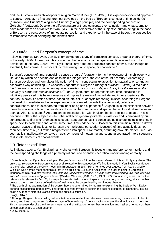and the Austrian-Israeli philosopher of religion Martin Buber (1878-1965). His experience-oriented approach to space, however, he first and foremost develops on the basis of Bergson's concept of time as 'durée' (duration), and Buber's 'dialogisches Prinzip' (dialogic principle) and the corresponding concept of 'Zwischen' (between). Despite the different nature of these concepts, they coincide - and what seems to have made them so attractive for Van Eyck – in the perspective of the subjective human being: in the case of Bergson, the perspective of immediate perception and experience; in the case of Buber, the perspective of immediate mental belonging and identification.

#### 1.2. Durée: Henri Bergson's concept of time

Following Francis Strauven, Van Eyck embarked on a study of Bergson's concept, or rather theory, of time, in the early 1950s. Indeed, with his concept of the "interiorization" of space and time – and which he developed in the early 1960s - Van Eyck particularly adopted Bergson's concept of time, even though he eventually transformed this concept by transferring it onto space, or space-time.<sup>5</sup>

Bergson's concept of time, conceiving space as 'durée' (duration), forms the keystone of his philosophy of life, and by which he became one of its main protagonists at the end of the 19<sup>th</sup> century.<sup>6</sup> Accordingly, Bergson develops and formulates his notion of time in contrasting juxtaposition to natural science and an associated way of thinking. As Christina Vagt puts it: '*Bergson's theory of duration … simply is the other, the to natural science complementary side, a method of conscious life, and to capture the realness, the actuality of corporeal-mental existence.'* <sup>7</sup> For Bergson, duration represents real time, because it is intuitively perceived. It is heterogeneous and implies the realm of immediate and inner experience. By contrast, a scientific notion of time, based on intellect, or analytic reasoning, misses, according to Bergson, that level of immediate and inner experience. It is oriented towards the outer world, outside of consciousness, and thus separated from inner being and experience.<sup>8</sup> Bergson links the distinction between these two notions of time to a qualitative distinction between time and space, that is, to a dualism between both, as Alan Lacy states.<sup>9</sup> As Bergson connects duration with intuition, he ties intellect to space. This is because matter - the subject to which the intellect is generally directed - exists for and is analyzed by our consciousness first and foremost in its spatial appearance, as it is conceived as discrete 'objects' existing in space next to each other and, at the same time, time-independent. Based on this intrinsic relation he draws between space and intellect, for Bergson the intellectual perception (concept) of time actually does not represent time at all, but rather integrates time into space. Like matter, or turning now into matter, time - as soon as it is intellectually conceived - gets by means of measuring and counting separated into a sequence of discrete moments of spatial events.

#### 1.3. 'Interiorized' time

As indicated above, Van Eyck primarily shares with Bergson his focus on and preference for intuition, and the corresponding challenge of a primarily rational and scientific-theoretical understanding of reality.

<sup>9</sup> Lacy, 1989, 17.

 $\overline{a}$ <sup>5</sup> Even though Van Eyck clearly adopted Bergson's concept of time, he never referred to this explicitly anywhere. The only clear reference to Bergson was not at all related to this conception. We find it already in Van Eyck's contribution to the official report of the CIAM meeting in Bridgewater in 1947. Here he takes over a quote from Carola Giedion-Welcker, who herself mentioned this quote in an article on Guillaume Apollinaire, in order to point to Bergson's influence on him: "*Ob nun Materie, ob Geist, die Wirklichkeit erscheint als eine stete Verwandlung, sie wird, oder sie entwird, sie ist nie ein fertig gewordenes"* (Giedion-Welcker, [1942] 1973, 1989, 192). But also in general terms, this reference is relevant for Van Eyck's experience-oriented concept of space only in a very indirect way, since it rather points to the not so closely defined idea of reality as to be determined by continuous change.

<sup>&</sup>lt;sup>6</sup> The depth of my examination of Bergson's theory is determined by the aim to explaining the basis of Van Eyck's general philosophical perspective. Therefore, I confine myself to explain the essential content of his theory, leaving aside any theory-historical classification and critical discussion.

 $7$  Vagt, 2014, 15.

<sup>&</sup>lt;sup>8</sup> Although Bergson clearly distinguishes intuition from intellect and stresses the essential significance of intuition to reveal, and thus to represent, "a deeper layer of human insight," he also acknowledges the significance of the latter. This is because, despite the different meaning and significance he ascribes to intuition and intellect, he regards them as complementary to each another.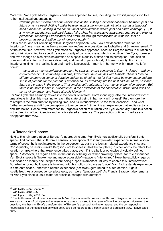Moreover, Van Eyck adopts Bergson's particular approach to time, including the explicit juxtaposition to a rather intellectual understanding:

*Now the present should never be understood as the shifting a-dimensional instant between past and future or as a closed shifting frontier between what is no longer and not yet is, but as a temporal span experience, shifting in the continuum of consciousness where past and future converge. (…) It is when he experiences and participates fully, when his associative awareness charges and extends perception, rendering it transparent and profound through memory and anticipation, that he becomes aware of duration, i.e. of temporal depth.'*<sup>10</sup>

In this sense, and still remaining within Bergson's approach, Van Eyck now describes 'duration' as 'interiorized' time, meaning as being '*broken up and made accessible*', as Lightelijn and Strauven remark.<sup>11</sup> At the same time, however, Van Eyck modifies Bergson's approach, because Bergson refers to duration as being intrinsically tied to a specific state or quality of consciousness, which is intuition. Van Eyck, however and even though he also explains duration as a specific quality of time and its perception - focuses on duration rather in terms of a qualitative part, and parcel of personhood, of human identity. For him, in 'interiorizing' time - in breaking it up and making it accessible - man is in harmony with himself, he is '*at home*':

*… as soon as man experiences duration, he senses himself contained in time – included – and time contained in him. In coinciding with time, furthermore, he coincides with himself. There is then no difference between sense of duration and sense of being, not for that matter between these and the sense of present, for the present is experienced as extending into the past and the future; past and future are created in the present. Thus implies self-realization. Yes, man is 'at home' in duration. But there is no room for him in 'closed time'. In the abstraction of the consecutive instant man loses his sense of dimension and hence also his identity.*<sup>12</sup>

For Van Eyck, this harmony moves into the center of interest. Correspondingly, also the 'interiorization' of time always implies this meaning to reach the state of being in harmony with oneself. Furthermore, he reinterprets the term duration by linking time, and its 'interiorization', to the term 'occasion' - and what further underlines a shift from perception *of* to experience *in* time. It is an experience that implies activity and interaction. Hence, with reference to Bergson's notion of duration Van Eyck eventually turns this notion in the direction of both identity- and activity-related experience. The perception of time in itself as such disappears from view.

#### 1.4 'Interiorized' space

Next to this reinterpretation of Bergson's approach to time, Van Eyck now additionally transfers it onto space. And conform the shift from a sensuous perception of to identity-related experience in time, also in terms of space, he is not interested in the perception *of,* but in the identity-related experience *in* space. Consequently, he refers - unlike Bergson - not to space in itself but to 'place'; in other words, he refers to a location or area where that experience takes place, even if it is a built or otherwise physically defined space.<sup>13</sup> Moreover, as regards time, in the quality of being, or rather providing, "place" for true experience, Van Eyck's space is "broken up and made accessible"—space is "interiorized." Here, he explicitly regards built space as merely one, despite there being a specific architectural way to enable this "interiorization". But whether or not built space is involved, with his notion of space as 'place', Van Eyck extends experience in time onto space. Inner time-related experience (occasion) gets linked to outer location, it gets 'spatialized'. As a consequence, place gets, as it were, 'temporalized'. As Francis Strauven also remarks, for Van Eyck place is, as a matter of principle, charged with duration:

<sup>10</sup> Van Eyck, [1962] 2010, 74.

<sup>11</sup> Van Eyck, 2010, 466.

<sup>12</sup> Van Eyck, [1962] 2010, 74.

<sup>&</sup>lt;sup>13</sup> Due to this neutralization of space as such, Van Eyck eventually does not conflict with Bergson, for whom space was - as a matter of principle and as mentioned above - opposed to the realm of intuitive perception. However, the question, whether van Eyck's transformation of Bergson's approach to time on space, and the corresponding neutralization of the opposition between both, could be regarded as a continuation of Bergson's view, I leave aside here.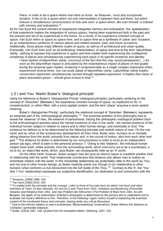*Place, in order to be a space where man feels at home,*' so Strauven, '*must also incorporate duration. It has to be a space which not only intermediates in-between here and there, but which induces a simultaneous consciousness of now and soon; a space which, like man himself, is imbued with memory and anticipation.*<sup>14</sup>

As for Van Eyck the current moment of experience integrates memory and anticipation, the 'spatialization' of that experience implies the integration of various places, having been experienced both in the past and the present and set to be experienced in the future. As a result, in his experience-oriented concept of space, Van Eyck refers to space as space-time, and to space-time as a synthesis of 'place' and 'occasion', as an instantaneous synthesis of *various* places and related present, past, and future occasions. Additionally, those places imply different scales of space, as well as of architectural and urban quality. Eventually, Van Eyck links such an all-embracing 'interiorization' of space and time to the term 'labyrinthian clarity', wishing to express that experience in space and time implies both experiencing the multilayered complexity of places and simultaneously experiencing each place in its specific existence and identity:

*I have spoken of labyrinthian clarity, conscious of the fact that this may sound paradoxical (…) As soon as the labyrinthian impact is articulated by the instantaneous impact of places of real quality during the temporal span implied, rendering it comprehensible as a single complex impression when experienced several times, one can justly speak of labyrinthian clarity. Labyrinthian clarity implies consecutive impression simultaneously sensed through repeated experience. It implies that clarity of place articulation grows – should grow at least in time.*<sup>15</sup>

#### 1.5 I and You: Martin Buber's 'dialogical principle'

Using his reference to Buber's "dialogisches Prinzip" (dialogical principle), particularly centering on the concept of "Zwischen" (Between), the experience-oriented concept of space, as explained so far, is complemented, or rather filled, with a socio-spatial content, and the term "place" acquires a socio-spatial meaning.

Buber's 'dialogisches Prinzip', particularly the relational concept of 'Zwischen' (Between), represents an essential part of his 'anthropological' philosophy. <sup>16</sup> The essential ambition of this philosophy was to reveal the 'essence' of man, the essence of personhood, tracing this philosophic-ontological problem back to the *anthropological* question about the mental existence of man in the world - the mental existence of the individual human subject in relation to nature and to other human beings, and eventually to God. This existence he defines as to be determined by the following principle and twofold nature of man: On the one hand, and by virtue of (the evolutionary development of) their mind, Buber sees humans as to mentally taking distance from the world, primarily from nature and, in the course of history, also from each other and god.<sup>17</sup> This distance for Buber is determined by our consciousness in order to exist as an independent person (as ego), which is seen in the personal pronoun 'I'. Owing to this 'distance', the individual human subject frees itself, unlike animals, from the surrounding world, which now turns out to be a counterpart, a vis-à-vis, an object-like world, which, says Buber, we consequently refer as an 'It' world.

On the other hand, however, Buber assigns man the (just as inborn) nature to establish another kind of relationship with the world. That relationship counteracts that distance and allows man to realize an immediate relation *with* the world. In this immediate relationship we (potentially) refer to the world as 'You', and not only to other human beings, as Buber explicitly points out, though in our relationship to other humans 'what confronts us has blossomed into the full reality of the Thou.'<sup>18</sup> Contrary to the 'It', the 'You' (the 'I-You' relationship) expresses our subjective identification, our dedication to and communion with the

<sup>14</sup> Strauven, [1994] 1998, 419.

<sup>15</sup> Van Eyck [1962] 2010, 100.

<sup>&</sup>lt;sup>16</sup> To explain both the principle and the concept. I refer to three of his main texts (to which Van Eyck and other members of Team 10 also referred): *Ich und Du* (I and Thou) from 1923, *Urdistanz und Beziehung* (Primordial Distance and Relation) from 1951, and *Das Problem des Menschen* (The Problem of Man) from 1942. As with Bergson, the depth of my examination of Buber's philosophy is determined by the primary aim to understand and to evaluate Van Eyck's reference to him. Therefore, in the following I again restrict myself to explaining the essential content of the mentioned theory and concepts, leaving aside any critical discussion.

<sup>&</sup>lt;sup>17</sup> Due to the intrinsic relation to man's evolutionary 'Menschwerdung' (incarnation), Buber defines this distance as 'Urdistanz' (primordial distance).

<sup>18</sup> Buber, [1923] 1957, 148. Quoted from the translated edition, Edinburg, 1937, 103.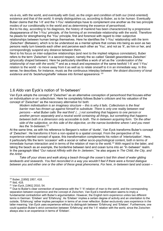vis-à-vis, with the world, and eventually with God, as the origin and condition of both our (mind-oriented) existence and that of the world. It simply distinguishes us, according to Buber, as to be *human*. Eventually Buber claims that the 'I-It' and the 'I-You' relationships have to complement one another as the two principle modes of our conditionality in the world and as determining the essence of personhood.

But to his day, according to his diagnosis, the history of mankind has been characterized by a progressive disappearance of the 'I-You' principle, of the forming of an immediate relationship with the world. Therefore he pleads for strengthening the 'You' principle, first and foremost with regard to inter-subjective relationships between human beings themselves. Here he identifies the 'I-You' relationship with the term 'Zwischen' (Between), which is to be understood as a mental sphere that comes into being as soon as two persons really turn towards each other and perceive each other as 'You', and not as 'It', as him or her, and correspondingly suspend any distance between them.

Next to his focus on inter-subjective relationships (and next to the implied religious connotation), Buber refers to the term 'Zwischen' in a second respect, namely the so-called 'Gestalt gewordenes Zwischen' (physically shaped between). Here he particularly identifies a work of art as the '*condensation of the relationship of man with the world*,'<sup>19</sup> and as a result and expression of the same twofold 'I-It' and 'I-You' relation to the world - to move away from it as well as to relate oneself to it in an immediate way. In this sense, he describes, for instance, music as the continuous interplay between '*the distant discovery of tonal existence and its 'beziehungshafte' release into formed appearance.*' 20

#### 1.6 Aldo van Eyck's notion of 'In-between'

Van Eyck adopts the concept of "Zwischen" as an alternative conception of personhood that focuses either on individualism or on collectivism. Here he completely follows Buber's criticism and his valuation of the concept of "Zwischen" as the necessary alternative for both:

*Modern individualism is an imaginary structure – this is why it fails. Collectivism is the final barrier man has thrown up against himself to substitute. There is only one reality between real persons – what Buber calls 'the real third' (…) not something that happens to one person or another person separately and a neutral world containing all things, but something that happens between both in a dimension only accessible to both. The in-between acquiring form. 'On the other side of the subjective, on this side of the objective, on the narrow borderline where I and you meet lies the 'In-between.*' *21*

At the same time, as with his reference to Bergson's notion of 'durée', Van Eyck transforms Buber's concept of 'Zwischen'. He transforms it from a non-spatial to a spatial concept. From the perspective of his experience-oriented concept of space, this transformation complements his notion of 'interiorization'. Here, it particularly fills the term 'occasion' with a social or rather socio-psychological content, both in terms of immediate human interaction and in terms of the relation of man to the world.<sup>22</sup> With regard to the latter, and taking the beach as an example, the borderline between land and ocean turns into an "In-between" realm. In the paragraph titled "*Our natural Affinity with the In-.between*," he also argues in *The Child, the City, and the Artist*:

*Take off your shoes and walk along a beach through the ocean's last thin sheet of water gliding landwards and seawards. You feel reconciled in a way you wouldn't feel if there were a forced dialogue between you and either one or the other of these great phenomena. For here, in-between land and ocean –*

 $\overline{a}$ <sup>19</sup> Buber, [1950] 1957, 418.

<sup>20</sup> Ibid, 418.

<sup>21</sup> Van Eyck, [1961] 2010, 54.

 $22$  Due to Buber's clear connection of experience with the 'I'-'It'-relation of man to the world, and the corresponding separation between experience and the concept of *Zwischen*, Van Eyck's transformation seems to imply a fundamental contradiction with Buber's argumentation. However, the English term experience unites two different terms in German: 'Erleben' and 'Erfahrung'. As 'Erleben' implies a certain degree of activity and an orientation to the outside, 'Erfahrung' rather implies perception in terms of an inner reflection. Buber exclusively uses experience in the latter meaning. Van Eyck uses experience without to distinguish between 'Erfahrung' and 'Erleben'. Furthermore, one could question Buber's strict connection between 'Erfahrung' and the 'I-It' relation with the world, since the Zwischen always also is an experience in terms of 'Erleben'.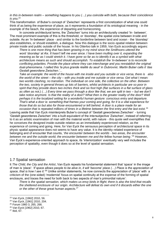*in this in-between realm – something happens to you (…) you coincide with both, because their coincidence is you*. 23

This transformation of Buber's concept of 'Zwischen' represents a first concretization of what one could think of as being the experience of place, as it represents a foundation of its ontological meaning - in the example of the beach, the experience of departing and homecoming.

In concrete architectural terms, the 'Zwischen' turns into an architecturally created 'In- between'. The most prominent example of this is the threshold, or 'doorstep', the spatial zone between inside and outside. As an 'In-between' place - and similar to the borderline between land and ocean - the 'doorstep' also establishes, or should establish, a dialogue. Now this dialogue is the socio-spatial relation between private inside and public outside of the house. In his Otterloo talk in 1959, Van Eyck accordingly argues:

*There is one more thing that has been growing in my mind since the Smithsons uttered the word 'doorstep' at Aix. It hasn't left me ever since. I have been mulling over it, expanding the meaning as far as I could stretch it. I have gone so far as to identify it as a symbol with what architecture means as such and should accomplish. To establish the 'in-between' is to reconcile conflicting polarities. Provide the place where they can interchange and you reestablish the original dual-phenomena. I called this 'la plus grande réalité du seuil' in Dubrovnic. Martin Buber calls it 'das Gestalt gewordene Zwischen.'...*

*Take an example: the world of the house with me inside and you outside or vice versa, there is also the world of the street – the city – with you inside and me outside or vice versa. Get what I mean: two worlds clashing, no transition. The individual on one side, the collective on the other. Between the two, society in general throws up lots of barriers, whilst architects in particular are so poor in spirit that they provide doors two inches thick and six foot high (flat surfaces in a flat surface of glass as often as not.) (…) Every time we pass through a door like that, we are split in two – but we don't*  take notice anymore. Is that the reality of a door? What then is the greater reality of the door? Well *perhaps it is the localized setting for a wonderful human gesture: conscious entry and departure. That's what a door is: something that frames your coming and going, for it is a vital experience for those that do so but also for those encountered or left behind. A door is a place made for an occasion that is repeated millions of times in a lifetime between the first entry and the last exist.* <sup>24</sup>

Leaving aside that Van Eyck misinterprets Buber's concept of 'Gestalt gewordenes Zwischen' - turning 'Gestalt gewordenes Zwischen' into a built equivalent of the intersubjective 'Zwischen', instead of referring to it as an artistic examination of man with the material world, with nature - this quote well exemplifies that he conceives the designed inside-outside relation as an immediately experienced relation, as the experience of coming and going. Here, for Van Eyck the sensuous perception of architectural space in its physic spatial appearance does not seems to have any value. It is the identity-related experience of belonging and of encounter that counts, '*the encounter between the worlds - two areas, the encounter*  between me and the outside world, the encounter between me and the fellow human being.<sup>'25</sup> However, Van Eyck's experience-oriented approach to space, its 'interiorization' eventually very well includes the perception of spatiality, even though it does so at the level of spatial sensation.

#### 1.7 Spatial sensation

It *The Child, the City and the Artist*, Van Eyck repeats his fundamental statement that 'space' in the image of man is 'place': *'if space allows people to be alive in, it will 'become' place (…) Place is the appreciation of space, that is how I see it.'<sup>26</sup>* Unlike similar statements, he now connects the appreciation of 'place' with a criticism of the (one-sided) 'modernist' focus on spatial continuity at the expense of the forming of spatial enclosure, and traces the need for both back to two aspects of man's primordial nature':

*There is the spatial sensation, which makes us envy birds in flight; there is also the kind that recalls the sheltered enclosure of our origin. Architecture will defeat its own end if it discards either the one or the other of these great human aspects.*<sup>27</sup>

<sup>&</sup>lt;sup>23</sup> Van Eyck, [1962] 2010, 56.

<sup>24</sup> Van Eyck, [1961] 2010, 204.

<sup>25</sup> Forum 1960 3, 265, 266.

<sup>26</sup> Van Eyck [1962] 2010, 67.

<sup>27</sup> Ibid, 67.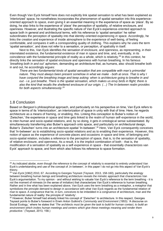Even though Van Eyck himself here does not explicitly link spatial sensation to what has been explained as 'interiorized' space, he nonetheless incorporates the phenomenon of spatial sensation into this experienceoriented approach to space, even giving it an essential meaning in the experience of space as 'place'. By so doing, he also links to the experience of 'place' the perception of spatiality, of relative enclosure, and openness. However, and illustrating the specific nature of Van Eyck's experience-oriented approach to space both in general and architectural terms, with his reference to 'spatial sensation' he rather subordinates the perception of spatiality into that identity-oriented experiencing *in* space. Accordingly, he links the creation and experience of inside atmosphere to the experience of well-being, of feeling comfortable, and compares it with a corresponding quality of clothing. This explains why he uses the term 'spatial sensation', and does not refer to a sensation, or perception, of spatiality in itself.

Next to this, Van Eyck identifies the sensation of enclosure, and openness, as representing, in their interrelated existence, the fundamental existence of man in space and time, and, eventually, in its coincidence with the fundamental principle of reality as a whole, which is relativity.<sup>28</sup> In this context, he directly links the sensation of spatial enclosure and openness with human breathing. In his famous '*breathing both in and out*' aphorism, demanding an architecture that, as humans, also should breathe both in and out, he accordingly argues:

*There are two fundamental kinds of spatial sensation that are compatible with man's primordial nature. They must always been present somehow in what we make - both at once. That is why I have conjured the breathing image and keep asking: when is architecture going to breathe in and out - i.e. just breathe. There is the spatial sensation, which makes us envy birds in flight; there is also the kind that recalls the sheltered enclosure of our origin. (…) The In-between realm provides for both aspects simultaneously.<sup>29</sup>*

#### 1.8 Conclusion

 $\overline{a}$ 

Based on Bergson's philosophical approach, and particularly on his perspective on time, Van Eyck refers to space in terms of its 'interiorization', an interiorization of space in unity with that of time. Here, he regards architecture as a means of framing, or enabling, this. Linking this conception to Buber's notion of 'Zwischen,' the experience *in* space and time gets linked to the realm of human self-experience in the world, to inter-human and socio-spatial relations, and, by so doing, it gets in ontological sense substantiated. By simultaneously transferring also Buber's approach onto space, and particularly on architectural design, Buber's 'Zwischen' turns into an architecture-spatial 'In-between'.<sup>30</sup> Here, Van Eyck consequently conceives that 'In-between' as to establishing socio-spatial relations and as to enabling their experience. However, this notion of space as the experience of concrete places and occasions *in* space and time, of belonging and socio-spatial relation, includes a reference to the perception of space, that is, to the sensation of spatiality, of relative enclosure, and openness. As a result, it is the implicit combination of both - that is, the modification of a sensation of spatiality as a self-experience *in* space - that essentially characterizes van Eyck' approach to space, and from which also follows his reference to space formation.

<sup>&</sup>lt;sup>28</sup> As indicated abobe, even though the reference to the concept of relativity is essential to entirely understand Van Eyck's undertstanding and use of the concept of 'In-between', in this paper I do not go into this aspect of Van Eyck's theory.

<sup>&</sup>lt;sup>29</sup> Van Eyck [1962] 2010, 67. According to Georges Teyssot (Teyssot, 2013, 158-160), particularly the analogy between breathing human beings and breathing architecture reveals the mimetic approach that characterizes Van Eyck's argumentation. To my opinion - and without wishing to valuate Van Eyck's reference to the term breathing - it is *not* the moment of mimesis (in the sense of imitation) that characterizes Van Eyck's reference to human breathing. Rather and in line what has been explained above, Van Eyck uses the term breathing as a metaphor, a metaphor that symbolizes the principle demand to design in accordance with what Van Eyck regards as the fundamental relation of man to space. A congruence that he, in turn, conceives to be imbedded in a congruence of architecture, man and the fundamental nature of reality: the principle of 'relativity'.

<sup>30</sup> However, Buber himself had already linked his concept of "Zwischen" to architecture. In this respect, Georges Teyssot points to Buber's foreword in Erwin Anton Gutkind's *Community and Environment* (1953): 'A discourse on Social Ecology,' where he states that '*The architects must be given the task to build for human contact, to build an environment which invites human meetings and centers which give these meetings meaning and render them productive.*' (Teyssot, 2013, 158.)